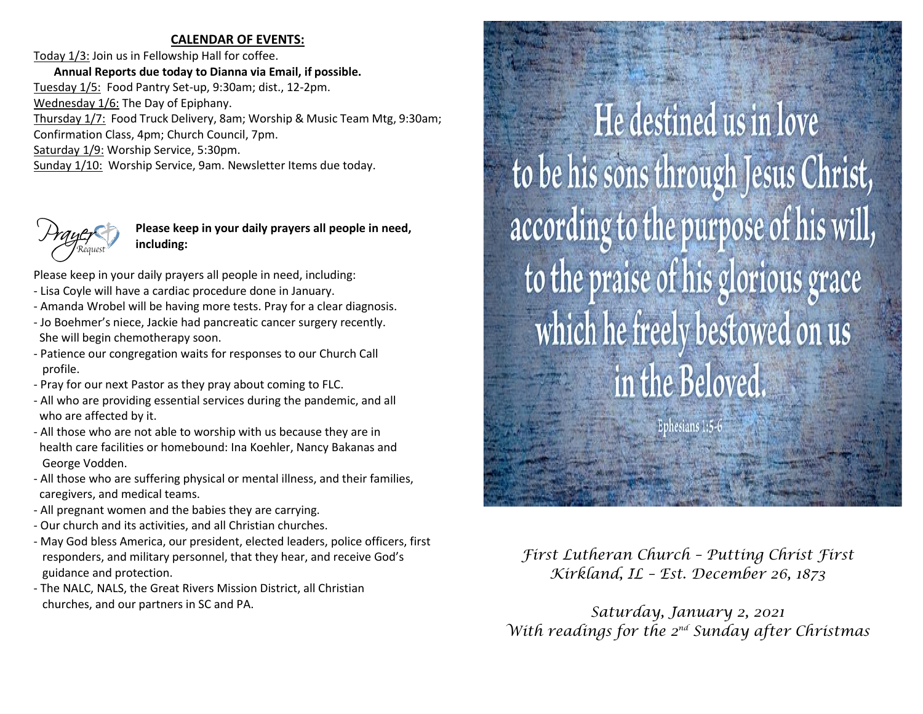#### **CALENDAR OF EVENTS:**

Today 1/3: Join us in Fellowship Hall for coffee. **Annual Reports due today to Dianna via Email, if possible.**  Tuesday 1/5: Food Pantry Set-up, 9:30am; dist., 12-2pm. Wednesday 1/6: The Day of Epiphany. Thursday 1/7: Food Truck Delivery, 8am; Worship & Music Team Mtg, 9:30am; Confirmation Class, 4pm; Church Council, 7pm. Saturday 1/9: Worship Service, 5:30pm. Sunday 1/10: Worship Service, 9am. Newsletter Items due today.



**Please keep in your daily prayers all people in need, including:**

Please keep in your daily prayers all people in need, including:

- Lisa Coyle will have a cardiac procedure done in January.
- Amanda Wrobel will be having more tests. Pray for a clear diagnosis.
- Jo Boehmer's niece, Jackie had pancreatic cancer surgery recently. She will begin chemotherapy soon.
- Patience our congregation waits for responses to our Church Call profile.
- Pray for our next Pastor as they pray about coming to FLC.
- All who are providing essential services during the pandemic, and all who are affected by it.
- All those who are not able to worship with us because they are in health care facilities or homebound: Ina Koehler, Nancy Bakanas and George Vodden.
- All those who are suffering physical or mental illness, and their families, caregivers, and medical teams.
- All pregnant women and the babies they are carrying.
- Our church and its activities, and all Christian churches.
- May God bless America, our president, elected leaders, police officers, first responders, and military personnel, that they hear, and receive God's guidance and protection.
- The NALC, NALS, the Great Rivers Mission District, all Christian churches, and our partners in SC and PA.

He destined us in love to be his sons through Jesus Christ, according to the purpose of his will, to the praise of his glorious grace which he freely bestowed on us in the Beloved. Ephesians 1:5-

*First Lutheran Church – Putting Christ First Kirkland, IL – Est. December 26, 1873*

*Saturday, January 2, 2021 With readings for the 2nd Sunday after Christmas*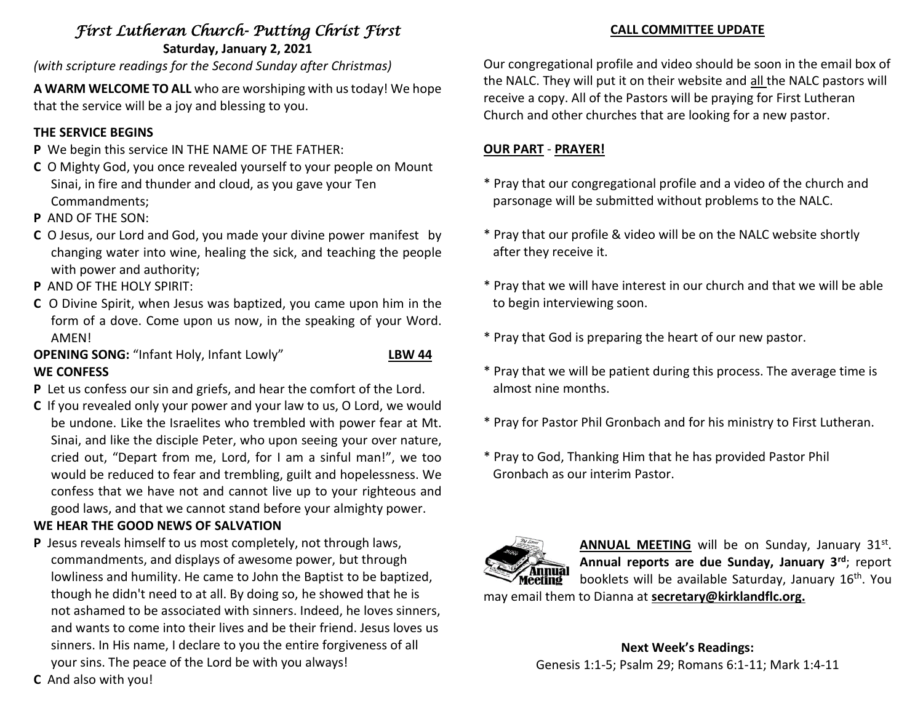# *First Lutheran Church- Putting Christ First*  **Saturday, January 2, 2021**

*(with scripture readings for the Second Sunday after Christmas)*

**A WARM WELCOME TO ALL** who are worshiping with us today! We hope that the service will be a joy and blessing to you.

# **THE SERVICE BEGINS**

- **P** We begin this service IN THE NAME OF THE FATHER:
- **C** O Mighty God, you once revealed yourself to your people on Mount Sinai, in fire and thunder and cloud, as you gave your Ten Commandments;
- **P** AND OF THE SON:
- **C** O Jesus, our Lord and God, you made your divine power manifest by changing water into wine, healing the sick, and teaching the people with power and authority;
- **P** AND OF THE HOLY SPIRIT:
- **C** O Divine Spirit, when Jesus was baptized, you came upon him in the form of a dove. Come upon us now, in the speaking of your Word. **AMFNI**
- **OPENING SONG:** "Infant Holy, Infant Lowly" **LBW 44 WE CONFESS**
- **P** Let us confess our sin and griefs, and hear the comfort of the Lord.
- **C** If you revealed only your power and your law to us, O Lord, we would be undone. Like the Israelites who trembled with power fear at Mt. Sinai, and like the disciple Peter, who upon seeing your over nature, cried out, "Depart from me, Lord, for I am a sinful man!", we too would be reduced to fear and trembling, guilt and hopelessness. We confess that we have not and cannot live up to your righteous and good laws, and that we cannot stand before your almighty power.

# **WE HEAR THE GOOD NEWS OF SALVATION**

**P** Jesus reveals himself to us most completely, not through laws, commandments, and displays of awesome power, but through lowliness and humility. He came to John the Baptist to be baptized, though he didn't need to at all. By doing so, he showed that he is not ashamed to be associated with sinners. Indeed, he loves sinners, and wants to come into their lives and be their friend. Jesus loves us sinners. In His name, I declare to you the entire forgiveness of all your sins. The peace of the Lord be with you always!

## **CALL COMMITTEE UPDATE**

Our congregational profile and video should be soon in the email box of the NALC. They will put it on their website and all the NALC pastors will receive a copy. All of the Pastors will be praying for First Lutheran Church and other churches that are looking for a new pastor.

# **OUR PART** - **PRAYER!**

- \* Pray that our congregational profile and a video of the church and parsonage will be submitted without problems to the NALC.
- \* Pray that our profile & video will be on the NALC website shortly after they receive it.
- \* Pray that we will have interest in our church and that we will be able to begin interviewing soon.
- \* Pray that God is preparing the heart of our new pastor.
- \* Pray that we will be patient during this process. The average time is almost nine months.
- \* Pray for Pastor Phil Gronbach and for his ministry to First Lutheran.
- \* Pray to God, Thanking Him that he has provided Pastor Phil Gronbach as our interim Pastor.



ANNUAL MEETING will be on Sunday, January 31st. **Annual reports are due Sunday, January 3rd**; report booklets will be available Saturday, January 16th. You may email them to Dianna at **secretary@kirklandflc.org.**

> **Next Week's Readings:** Genesis 1:1-5; Psalm 29; Romans 6:1-11; Mark 1:4-11

**C** And also with you!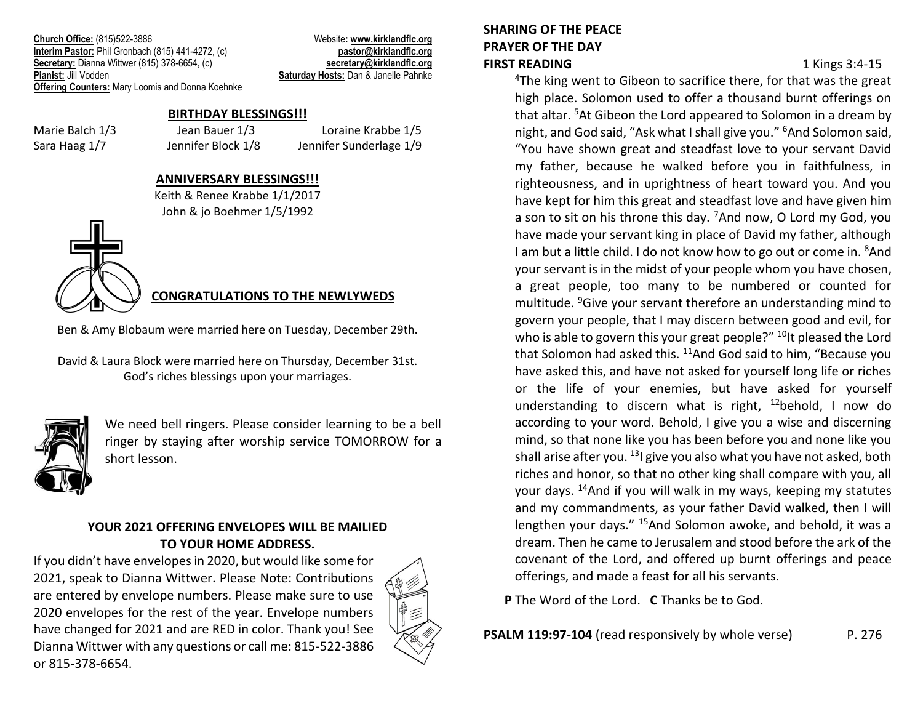**Church Office:** (815)522-3886 Website**: [www.kirklandflc.org](http://www.kirklandflc.org/) Interim Pastor:** Phil Gronbach (815) 441-4272, (c) **pastor [pastor@kirklandflc.org](mailto:pastor@kirklandflc.org) Secretary:** Dianna Wittwer (815) 378-6654, (c) **[secretary@kirklandflc.org](mailto:secretary@kirklandflc.org) Pianist:** Jill Vodden **Saturday Hosts:** Dan & Janelle Pahnke **Offering Counters:** Mary Loomis and Donna Koehnke

### **BIRTHDAY BLESSINGS!!!**

Marie Balch 1/3 Jean Bauer 1/3 Loraine Krabbe 1/5 Sara Haag 1/7 Jennifer Block 1/8 Jennifer Sunderlage 1/9

#### **ANNIVERSARY BLESSINGS!!!**

Keith & Renee Krabbe 1/1/2017 John & jo Boehmer 1/5/1992

# **CONGRATULATIONS TO THE NEWLYWEDS**

Ben & Amy Blobaum were married here on Tuesday, December 29th.

David & Laura Block were married here on Thursday, December 31st. God's riches blessings upon your marriages.



We need bell ringers. Please consider learning to be a bell ringer by staying after worship service TOMORROW for a short lesson.

## **YOUR 2021 OFFERING ENVELOPES WILL BE MAILIED TO YOUR HOME ADDRESS.**

If you didn't have envelopes in 2020, but would like some for 2021, speak to Dianna Wittwer. Please Note: Contributions are entered by envelope numbers. Please make sure to use 2020 envelopes for the rest of the year. Envelope numbers have changed for 2021 and are RED in color. Thank you! See Dianna Wittwer with any questions or call me: 815-522-3886 or 815-378-6654.



# **SHARING OF THE PEACE PRAYER OF THE DAY FIRST READING** 1 Kings 3:4-15

<sup>4</sup>The king went to Gibeon to sacrifice there, for that was the great high place. Solomon used to offer a thousand burnt offerings on that altar. <sup>5</sup>At Gibeon the Lord appeared to Solomon in a dream by night, and God said, "Ask what I shall give you." <sup>6</sup>And Solomon said, "You have shown great and steadfast love to your servant David my father, because he walked before you in faithfulness, in righteousness, and in uprightness of heart toward you. And you have kept for him this great and steadfast love and have given him a son to sit on his throne this day. <sup>7</sup>And now, O Lord my God, you have made your servant king in place of David my father, although I am but a little child. I do not know how to go out or come in. <sup>8</sup>And your servant is in the midst of your people whom you have chosen, a great people, too many to be numbered or counted for multitude. <sup>9</sup>Give your servant therefore an understanding mind to govern your people, that I may discern between good and evil, for who is able to govern this your great people?" <sup>10</sup>It pleased the Lord that Solomon had asked this. <sup>11</sup>And God said to him, "Because you have asked this, and have not asked for yourself long life or riches or the life of your enemies, but have asked for yourself understanding to discern what is right,  $12$ behold, I now do according to your word. Behold, I give you a wise and discerning mind, so that none like you has been before you and none like you shall arise after you. <sup>13</sup> give you also what you have not asked, both riches and honor, so that no other king shall compare with you, all your days. <sup>14</sup>And if you will walk in my ways, keeping my statutes and my commandments, as your father David walked, then I will lengthen your days." <sup>15</sup>And Solomon awoke, and behold, it was a dream. Then he came to Jerusalem and stood before the ark of the covenant of the Lord, and offered up burnt offerings and peace offerings, and made a feast for all his servants.

**P** The Word of the Lord. **C** Thanks be to God.

**PSALM 119:97-104** (read responsively by whole verse) P. 276